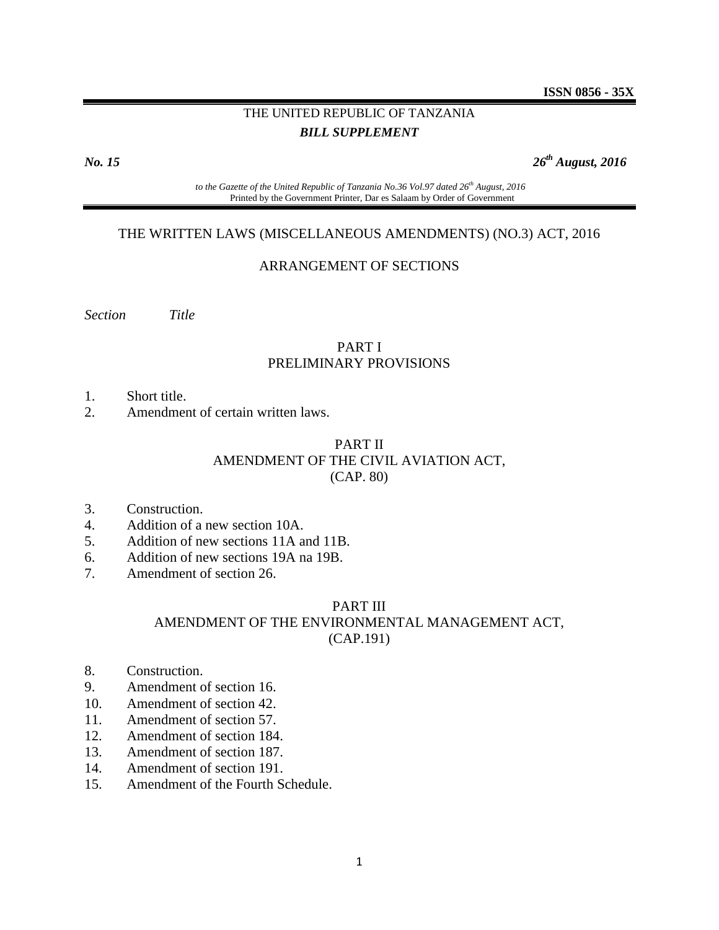## THE UNITED REPUBLIC OF TANZANIA *BILL SUPPLEMENT*

*No. 15 26*

*th August, 2016*

*to the Gazette of the United Republic of Tanzania No.36 Vol.97 dated 26 th August, 2016* Printed by the Government Printer, Dar es Salaam by Order of Government

#### THE WRITTEN LAWS (MISCELLANEOUS AMENDMENTS) (NO.3) ACT, 2016

#### ARRANGEMENT OF SECTIONS

*Section Title*

#### PART I PRELIMINARY PROVISIONS

- 1. Short title.
- 2. Amendment of certain written laws.

#### PART II AMENDMENT OF THE CIVIL AVIATION ACT, (CAP. 80)

- 3. Construction.
- 4. Addition of a new section 10A.
- 5. Addition of new sections 11A and 11B.
- 6. Addition of new sections 19A na 19B.
- 7. Amendment of section 26.

#### PART III AMENDMENT OF THE ENVIRONMENTAL MANAGEMENT ACT, (CAP.191)

- 8. Construction.
- 9. Amendment of section 16.
- 10. Amendment of section 42.
- 11. Amendment of section 57.
- 12. Amendment of section 184.
- 13. Amendment of section 187.
- 14. Amendment of section 191.
- 15. Amendment of the Fourth Schedule.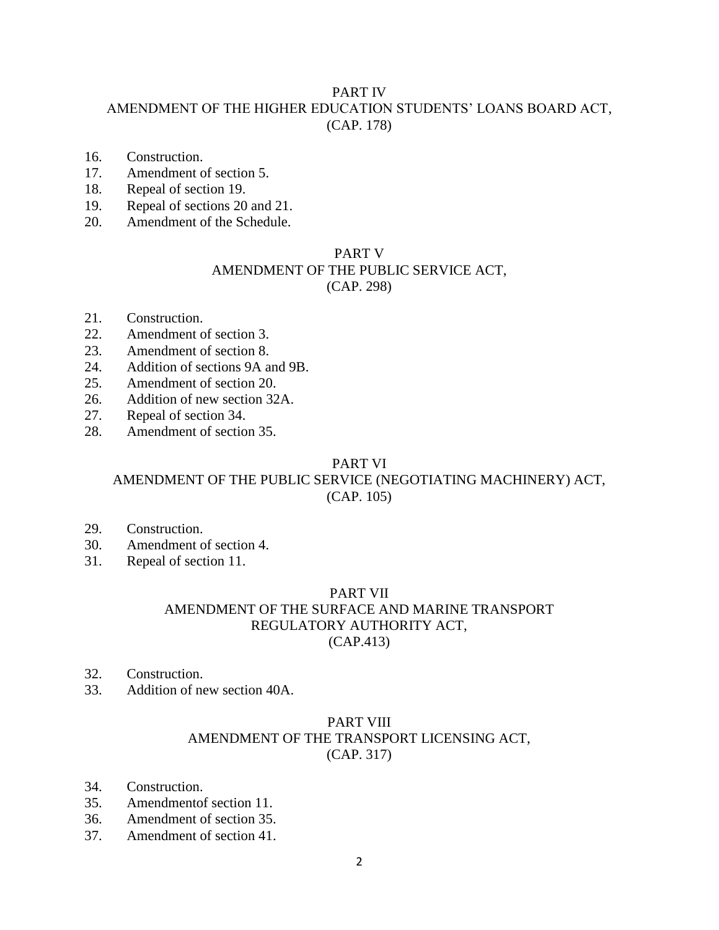## PART IV

## AMENDMENT OF THE HIGHER EDUCATION STUDENTS' LOANS BOARD ACT, (CAP. 178)

- 16. Construction.
- 17. Amendment of section 5.
- 18. Repeal of section 19.
- 19. Repeal of sections 20 and 21.
- 20. Amendment of the Schedule.

## PART V AMENDMENT OF THE PUBLIC SERVICE ACT, (CAP. 298)

- 21. Construction.
- 22. Amendment of section 3.
- 23. Amendment of section 8.
- 24. Addition of sections 9A and 9B.
- 25. Amendment of section 20.
- 26. Addition of new section 32A.
- 27. Repeal of section 34.
- 28. Amendment of section 35.

#### PART VI

## AMENDMENT OF THE PUBLIC SERVICE (NEGOTIATING MACHINERY) ACT, (CAP. 105)

- 29. Construction.
- 30. Amendment of section 4.
- 31. Repeal of section 11.

## PART VII

## AMENDMENT OF THE SURFACE AND MARINE TRANSPORT REGULATORY AUTHORITY ACT, (CAP.413)

- 32. Construction.
- 33. Addition of new section 40A.

## PART VIII AMENDMENT OF THE TRANSPORT LICENSING ACT, (CAP. 317)

- 34. Construction.
- 35. Amendmentof section 11.
- 36. Amendment of section 35.
- 37. Amendment of section 41.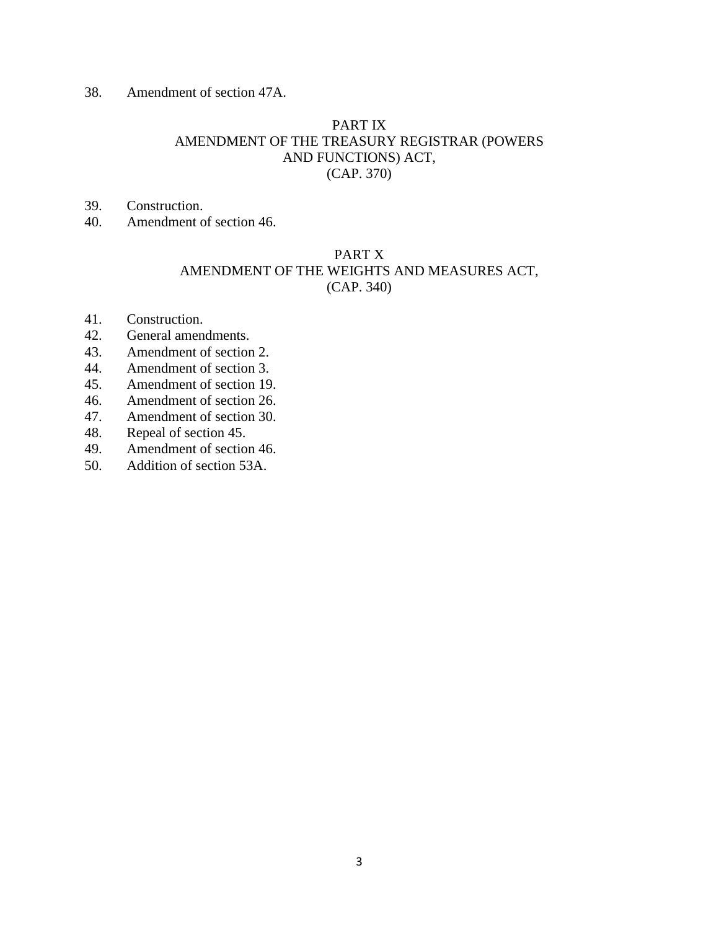38. Amendment of section 47A.

## PART IX AMENDMENT OF THE TREASURY REGISTRAR (POWERS AND FUNCTIONS) ACT, (CAP. 370)

- 39. Construction.
- 40. Amendment of section 46.

## PART X AMENDMENT OF THE WEIGHTS AND MEASURES ACT, (CAP. 340)

- 41. Construction.
- 42. General amendments.
- 43. Amendment of section 2.
- 44. Amendment of section 3.
- 45. Amendment of section 19.
- 46. Amendment of section 26.
- 47. Amendment of section 30.
- 48. Repeal of section 45.
- 49. Amendment of section 46.
- 50. Addition of section 53A.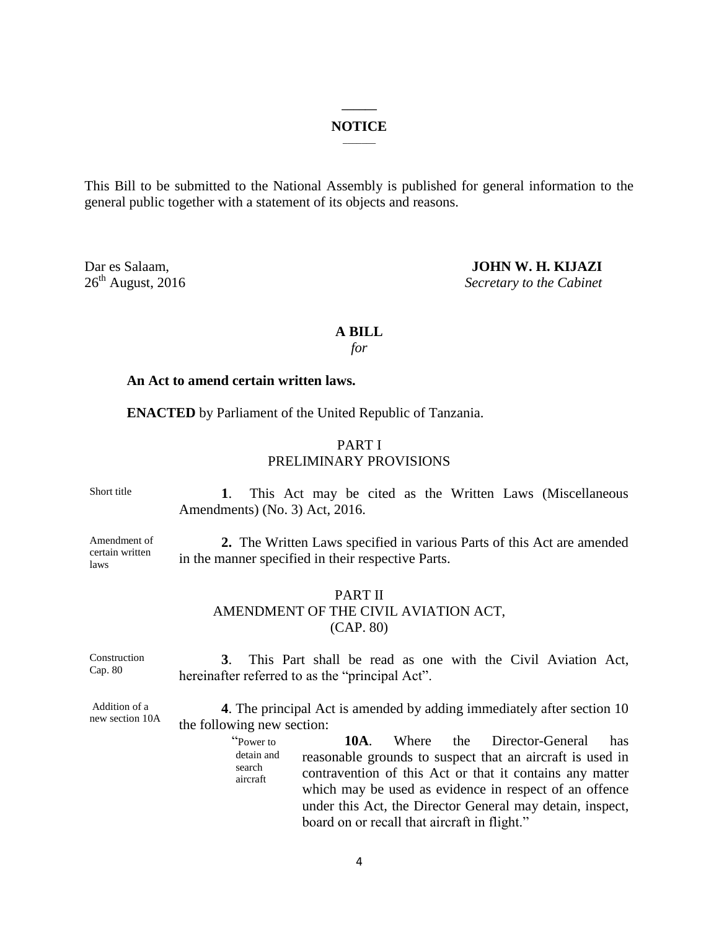#### **\_\_\_\_\_\_ NOTICE**  $\overline{\phantom{a}}$

This Bill to be submitted to the National Assembly is published for general information to the general public together with a statement of its objects and reasons.

Dar es Salaam, **JOHN W. H. KIJAZI**<br>
26<sup>th</sup> August, 2016 Secretary to the Cabinet **Secretary to the Cabinet** 

#### **A BILL**

*for*

#### **An Act to amend certain written laws.**

**ENACTED** by Parliament of the United Republic of Tanzania.

## PART I PRELIMINARY PROVISIONS

Short title

 **1**. This Act may be cited as the Written Laws (Miscellaneous Amendments) (No. 3) Act, 2016.

Amendment of certain written laws

**2.** The Written Laws specified in various Parts of this Act are amended in the manner specified in their respective Parts.

#### PART II AMENDMENT OF THE CIVIL AVIATION ACT, (CAP. 80)

Construction Cap. 80 **3**. This Part shall be read as one with the Civil Aviation Act, hereinafter referred to as the "principal Act".

Addition of a new section 10A

**4**. The principal Act is amended by adding immediately after section 10 the following new section:

> "Power to detain and search aircraft **10A**. Where the Director-General has reasonable grounds to suspect that an aircraft is used in contravention of this Act or that it contains any matter which may be used as evidence in respect of an offence under this Act, the Director General may detain, inspect, board on or recall that aircraft in flight."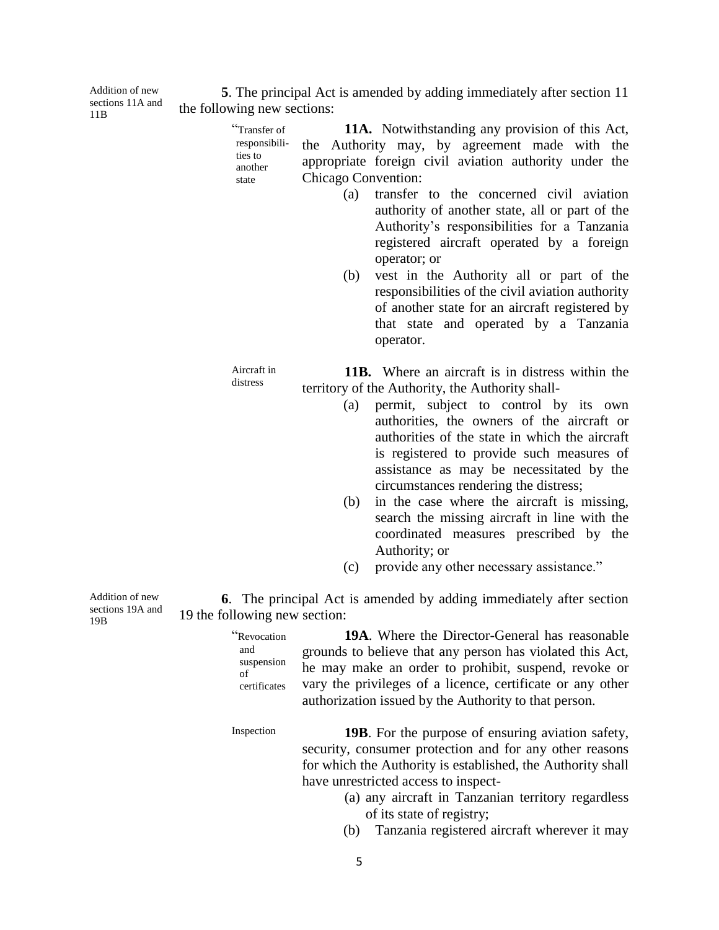**5**. The principal Act is amended by adding immediately after section 11 the following new sections:

> "Transfer of responsibilities to another state **11A.** Notwithstanding any provision of this Act, the Authority may, by agreement made with the appropriate foreign civil aviation authority under the Chicago Convention:

- (a) transfer to the concerned civil aviation authority of another state, all or part of the Authority's responsibilities for a Tanzania registered aircraft operated by a foreign operator; or
- (b) vest in the Authority all or part of the responsibilities of the civil aviation authority of another state for an aircraft registered by that state and operated by a Tanzania operator.

**11B.** Where an aircraft is in distress within the territory of the Authority, the Authority shall-

- (a) permit, subject to control by its own authorities, the owners of the aircraft or authorities of the state in which the aircraft is registered to provide such measures of assistance as may be necessitated by the circumstances rendering the distress;
- (b) in the case where the aircraft is missing, search the missing aircraft in line with the coordinated measures prescribed by the Authority; or
- (c) provide any other necessary assistance."

**6**. The principal Act is amended by adding immediately after section 19 the following new section:

5

**19A**. Where the Director-General has reasonable grounds to believe that any person has violated this Act, he may make an order to prohibit, suspend, revoke or vary the privileges of a licence, certificate or any other authorization issued by the Authority to that person.

Inspection **19B**. For the purpose of ensuring aviation safety, security, consumer protection and for any other reasons for which the Authority is established, the Authority shall have unrestricted access to inspect-

- (a) any aircraft in Tanzanian territory regardless of its state of registry;
- (b) Tanzania registered aircraft wherever it may

Addition of new sections 19A and 19B

"Revocation and suspension of certificates

Aircraft in

distress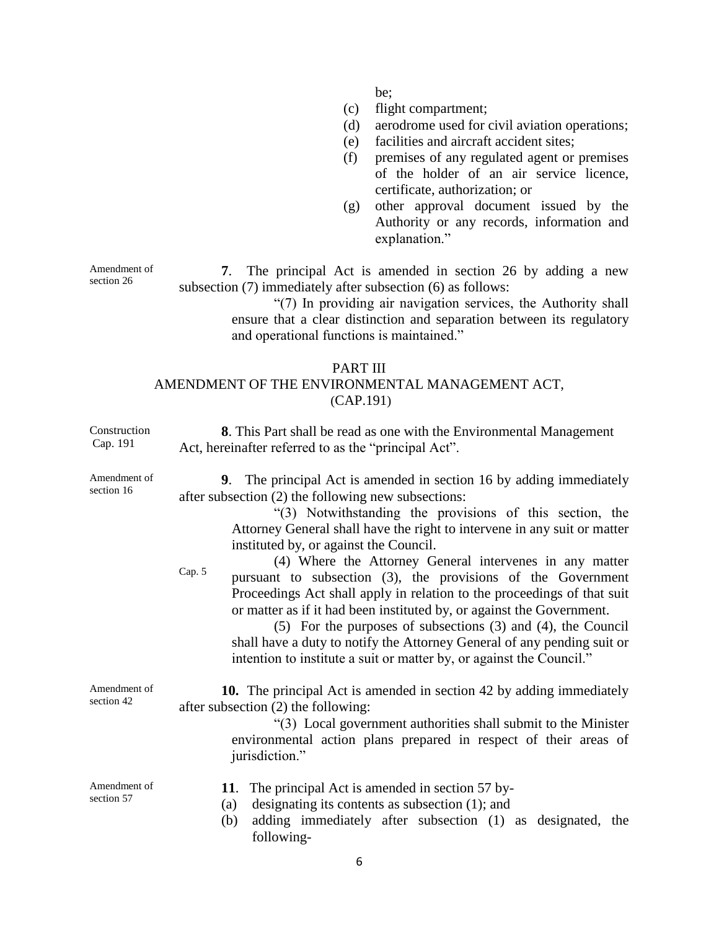be;

- (c) flight compartment;
- (d) aerodrome used for civil aviation operations;
- (e) facilities and aircraft accident sites;
- (f) premises of any regulated agent or premises of the holder of an air service licence, certificate, authorization; or
- (g) other approval document issued by the Authority or any records, information and explanation."

**7**. The principal Act is amended in section 26 by adding a new subsection (7) immediately after subsection (6) as follows:

> "(7) In providing air navigation services, the Authority shall ensure that a clear distinction and separation between its regulatory and operational functions is maintained."

## PART III AMENDMENT OF THE ENVIRONMENTAL MANAGEMENT ACT, (CAP.191)

| Construction<br>Cap. 191   | <b>8.</b> This Part shall be read as one with the Environmental Management<br>Act, hereinafter referred to as the "principal Act".                                                                                                                                                                                                                                                                                                                                                                                                                                                                                                                                                                                                                                                                                              |
|----------------------------|---------------------------------------------------------------------------------------------------------------------------------------------------------------------------------------------------------------------------------------------------------------------------------------------------------------------------------------------------------------------------------------------------------------------------------------------------------------------------------------------------------------------------------------------------------------------------------------------------------------------------------------------------------------------------------------------------------------------------------------------------------------------------------------------------------------------------------|
| Amendment of<br>section 16 | 9. The principal Act is amended in section 16 by adding immediately<br>after subsection (2) the following new subsections:<br>"(3) Notwithstanding the provisions of this section, the<br>Attorney General shall have the right to intervene in any suit or matter<br>instituted by, or against the Council.<br>(4) Where the Attorney General intervenes in any matter<br>Cap. 5<br>pursuant to subsection (3), the provisions of the Government<br>Proceedings Act shall apply in relation to the proceedings of that suit<br>or matter as if it had been instituted by, or against the Government.<br>$(5)$ For the purposes of subsections $(3)$ and $(4)$ , the Council<br>shall have a duty to notify the Attorney General of any pending suit or<br>intention to institute a suit or matter by, or against the Council." |
| Amendment of<br>section 42 | <b>10.</b> The principal Act is amended in section 42 by adding immediately<br>after subsection (2) the following:<br>"(3) Local government authorities shall submit to the Minister<br>environmental action plans prepared in respect of their areas of<br>jurisdiction."                                                                                                                                                                                                                                                                                                                                                                                                                                                                                                                                                      |
| Amendment of<br>section 57 | The principal Act is amended in section 57 by-<br>11.<br>designating its contents as subsection (1); and<br>(a)<br>adding immediately after subsection (1) as designated, the<br>(b)<br>following-                                                                                                                                                                                                                                                                                                                                                                                                                                                                                                                                                                                                                              |

Amendment of section 26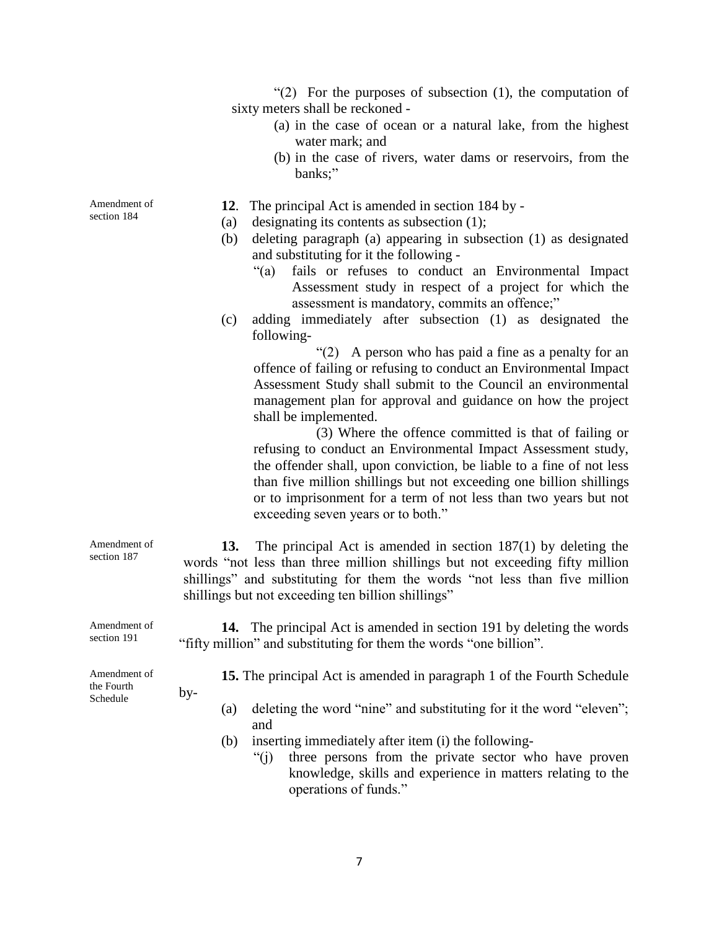$(2)$  For the purposes of subsection  $(1)$ , the computation of sixty meters shall be reckoned -

- (a) in the case of ocean or a natural lake, from the highest water mark; and
- (b) in the case of rivers, water dams or reservoirs, from the banks;"
- **12**. The principal Act is amended in section 184 by -
- (a) designating its contents as subsection (1);
- (b) deleting paragraph (a) appearing in subsection (1) as designated and substituting for it the following -
	- "(a) fails or refuses to conduct an Environmental Impact Assessment study in respect of a project for which the assessment is mandatory, commits an offence;"
- (c) adding immediately after subsection (1) as designated the following-

" $(2)$  A person who has paid a fine as a penalty for an offence of failing or refusing to conduct an Environmental Impact Assessment Study shall submit to the Council an environmental management plan for approval and guidance on how the project shall be implemented.

(3) Where the offence committed is that of failing or refusing to conduct an Environmental Impact Assessment study, the offender shall, upon conviction, be liable to a fine of not less than five million shillings but not exceeding one billion shillings or to imprisonment for a term of not less than two years but not exceeding seven years or to both."

**13.** The principal Act is amended in section 187(1) by deleting the words "not less than three million shillings but not exceeding fifty million shillings" and substituting for them the words "not less than five million shillings but not exceeding ten billion shillings"

**14.** The principal Act is amended in section 191 by deleting the words "fifty million" and substituting for them the words "one billion".

Amendment of the Fourth Schedule

by-

- **15.** The principal Act is amended in paragraph 1 of the Fourth Schedule
	- (a) deleting the word "nine" and substituting for it the word "eleven"; and
- (b) inserting immediately after item (i) the following-
	- "(j) three persons from the private sector who have proven knowledge, skills and experience in matters relating to the operations of funds."

Amendment of section 191

Amendment of section 187

Amendment of section 184

7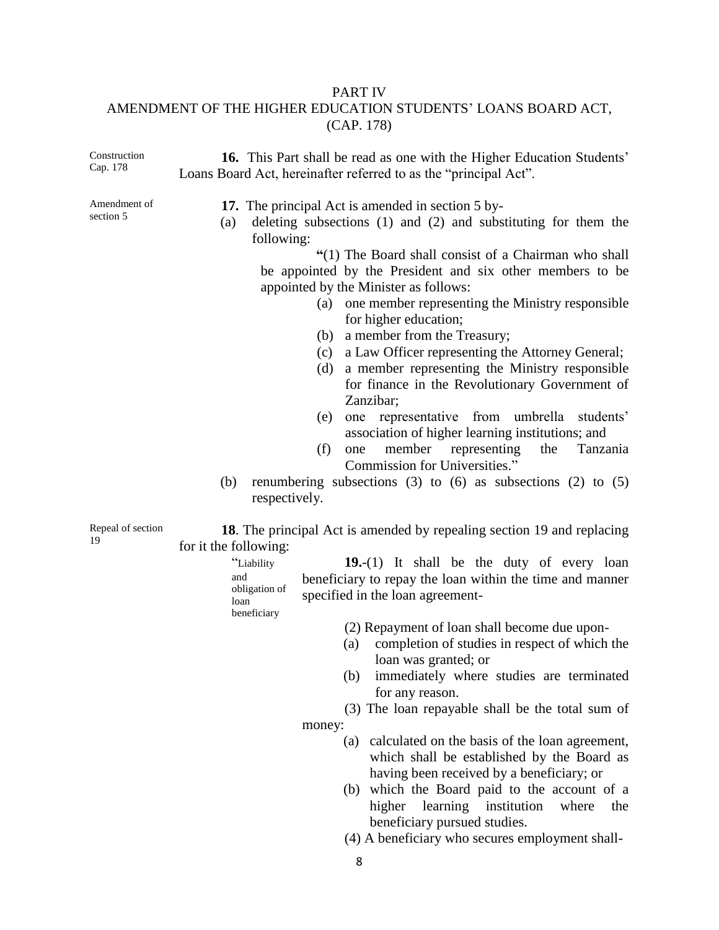#### PART IV

## AMENDMENT OF THE HIGHER EDUCATION STUDENTS' LOANS BOARD ACT, (CAP. 178)

Construction Cap. 178 **16.** This Part shall be read as one with the Higher Education Students' Loans Board Act, hereinafter referred to as the "principal Act". Amendment of section 5 **17.** The principal Act is amended in section 5 by- (a) deleting subsections (1) and (2) and substituting for them the following: **"**(1) The Board shall consist of a Chairman who shall be appointed by the President and six other members to be appointed by the Minister as follows: (a) one member representing the Ministry responsible for higher education; (b) a member from the Treasury; (c) a Law Officer representing the Attorney General; (d) a member representing the Ministry responsible for finance in the Revolutionary Government of Zanzibar; (e) one representative from umbrella students' association of higher learning institutions; and (f) one member representing the Tanzania Commission for Universities." (b) renumbering subsections (3) to (6) as subsections (2) to  $(5)$ respectively. Repeal of section 19 **18**. The principal Act is amended by repealing section 19 and replacing for it the following: "Liability and obligation of loan beneficiary **19.**-(1) It shall be the duty of every loan beneficiary to repay the loan within the time and manner specified in the loan agreement- (2) Repayment of loan shall become due upon-

- (a) completion of studies in respect of which the
- loan was granted; or (b) immediately where studies are terminated
- for any reason.

(3) The loan repayable shall be the total sum of money:

- (a) calculated on the basis of the loan agreement, which shall be established by the Board as having been received by a beneficiary; or
- (b) which the Board paid to the account of a higher learning institution where the beneficiary pursued studies.
- (4) A beneficiary who secures employment shall-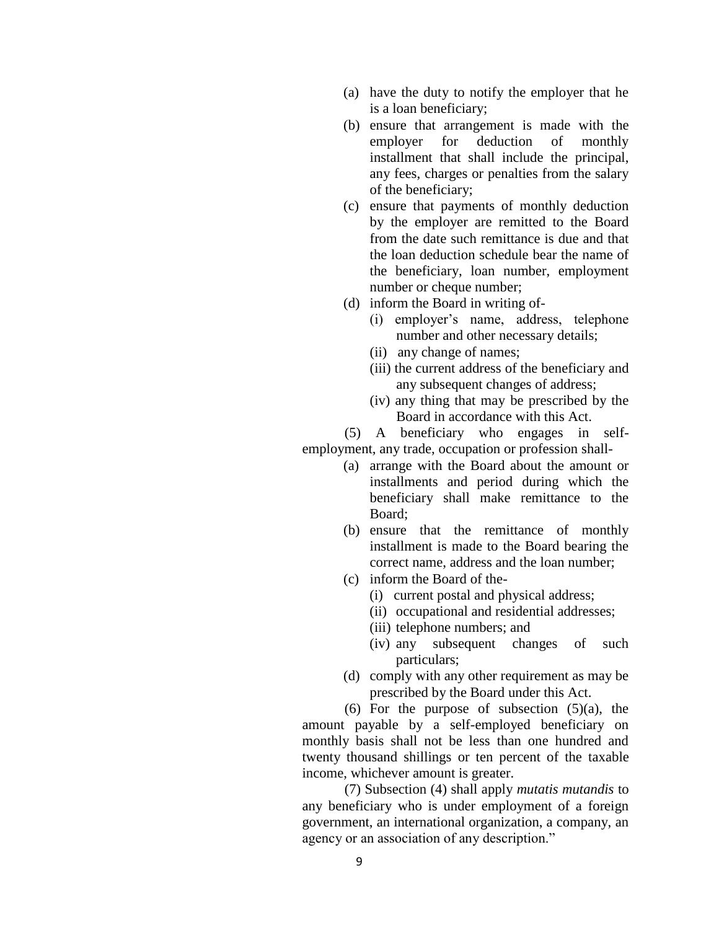- (a) have the duty to notify the employer that he is a loan beneficiary;
- (b) ensure that arrangement is made with the employer for deduction of monthly installment that shall include the principal, any fees, charges or penalties from the salary of the beneficiary;
- (c) ensure that payments of monthly deduction by the employer are remitted to the Board from the date such remittance is due and that the loan deduction schedule bear the name of the beneficiary, loan number, employment number or cheque number;
- (d) inform the Board in writing of-
	- (i) employer's name, address, telephone number and other necessary details;
	- (ii) any change of names;
	- (iii) the current address of the beneficiary and any subsequent changes of address;
	- (iv) any thing that may be prescribed by the Board in accordance with this Act.

(5) A beneficiary who engages in selfemployment, any trade, occupation or profession shall-

- (a) arrange with the Board about the amount or installments and period during which the beneficiary shall make remittance to the Board;
- (b) ensure that the remittance of monthly installment is made to the Board bearing the correct name, address and the loan number;
- (c) inform the Board of the-
	- (i) current postal and physical address;
	- (ii) occupational and residential addresses;
	- (iii) telephone numbers; and
	- (iv) any subsequent changes of such particulars;
- (d) comply with any other requirement as may be prescribed by the Board under this Act.

(6) For the purpose of subsection  $(5)(a)$ , the amount payable by a self-employed beneficiary on monthly basis shall not be less than one hundred and twenty thousand shillings or ten percent of the taxable income, whichever amount is greater.

(7) Subsection (4) shall apply *mutatis mutandis* to any beneficiary who is under employment of a foreign government, an international organization, a company, an agency or an association of any description."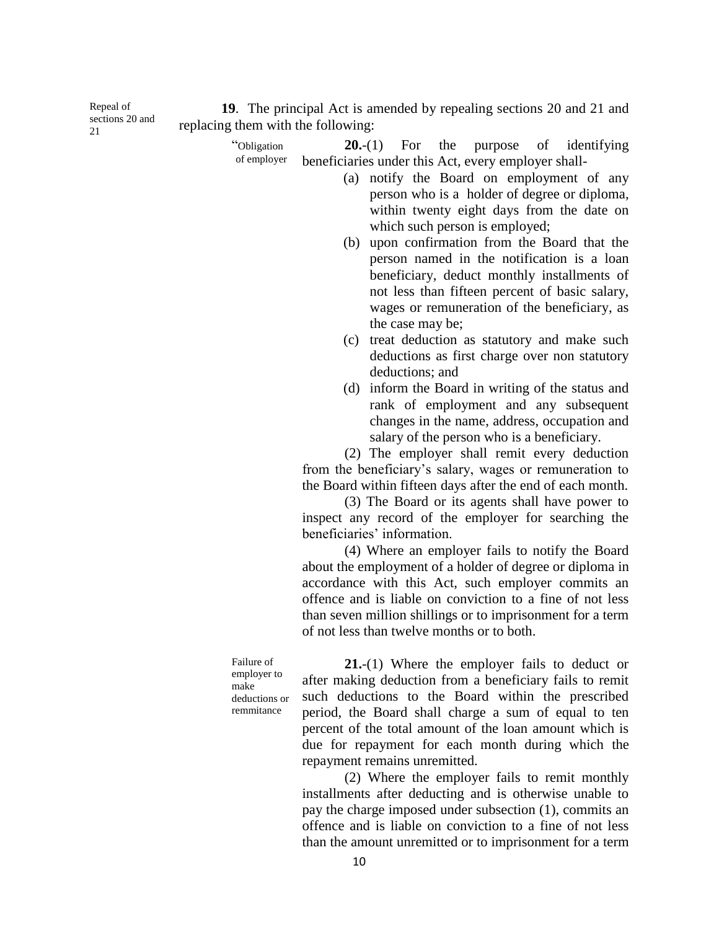Repeal of sections 20 and  $21$ 

**19**. The principal Act is amended by repealing sections 20 and 21 and replacing them with the following:

> "Obligation of employer **20.**-(1) For the purpose of identifying beneficiaries under this Act, every employer shall-

- (a) notify the Board on employment of any person who is a holder of degree or diploma, within twenty eight days from the date on which such person is employed;
- (b) upon confirmation from the Board that the person named in the notification is a loan beneficiary, deduct monthly installments of not less than fifteen percent of basic salary, wages or remuneration of the beneficiary, as the case may be;
- (c) treat deduction as statutory and make such deductions as first charge over non statutory deductions; and
- (d) inform the Board in writing of the status and rank of employment and any subsequent changes in the name, address, occupation and salary of the person who is a beneficiary.

(2) The employer shall remit every deduction from the beneficiary's salary, wages or remuneration to the Board within fifteen days after the end of each month.

(3) The Board or its agents shall have power to inspect any record of the employer for searching the beneficiaries' information.

(4) Where an employer fails to notify the Board about the employment of a holder of degree or diploma in accordance with this Act, such employer commits an offence and is liable on conviction to a fine of not less than seven million shillings or to imprisonment for a term of not less than twelve months or to both.

Failure of employer to make deductions or remmitance

**21.**-(1) Where the employer fails to deduct or after making deduction from a beneficiary fails to remit such deductions to the Board within the prescribed period, the Board shall charge a sum of equal to ten percent of the total amount of the loan amount which is due for repayment for each month during which the repayment remains unremitted.

(2) Where the employer fails to remit monthly installments after deducting and is otherwise unable to pay the charge imposed under subsection (1), commits an offence and is liable on conviction to a fine of not less than the amount unremitted or to imprisonment for a term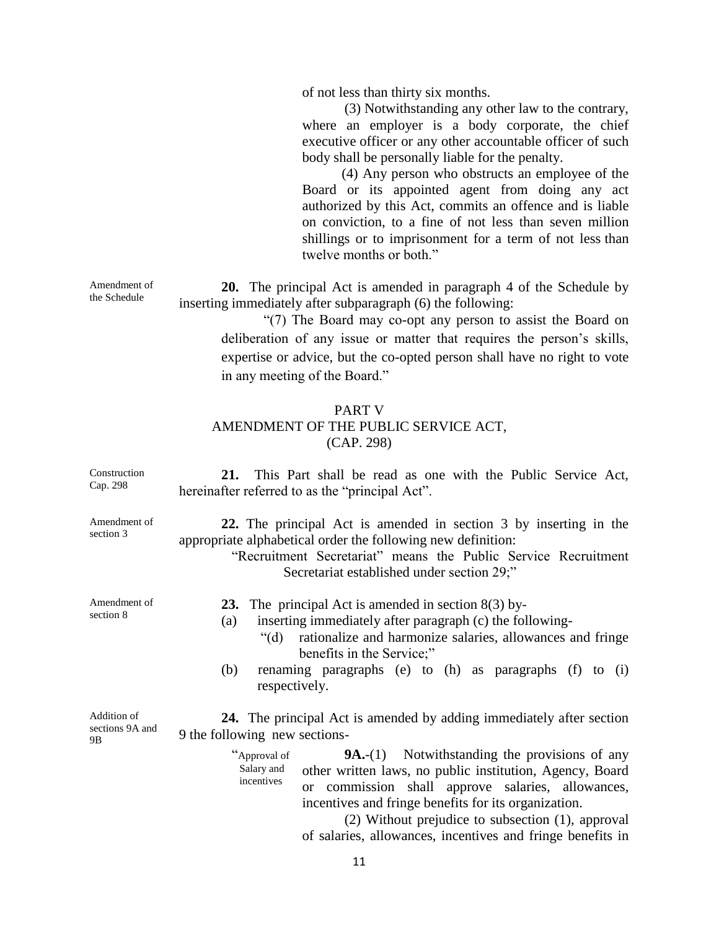of not less than thirty six months.

(3) Notwithstanding any other law to the contrary, where an employer is a body corporate, the chief executive officer or any other accountable officer of such body shall be personally liable for the penalty.

(4) Any person who obstructs an employee of the Board or its appointed agent from doing any act authorized by this Act, commits an offence and is liable on conviction, to a fine of not less than seven million shillings or to imprisonment for a term of not less than twelve months or both."

**20.** The principal Act is amended in paragraph 4 of the Schedule by inserting immediately after subparagraph (6) the following:

"(7) The Board may co-opt any person to assist the Board on deliberation of any issue or matter that requires the person's skills, expertise or advice, but the co-opted person shall have no right to vote in any meeting of the Board."

## PART V AMENDMENT OF THE PUBLIC SERVICE ACT, (CAP. 298)

| Construction<br>Cap. 298             | This Part shall be read as one with the Public Service Act,<br>21.<br>hereinafter referred to as the "principal Act".                                                                                                                                                                                                                                                                       |
|--------------------------------------|---------------------------------------------------------------------------------------------------------------------------------------------------------------------------------------------------------------------------------------------------------------------------------------------------------------------------------------------------------------------------------------------|
| Amendment of<br>section 3            | 22. The principal Act is amended in section 3 by inserting in the<br>appropriate alphabetical order the following new definition:<br>"Recruitment Secretariat" means the Public Service Recruitment<br>Secretariat established under section 29;"                                                                                                                                           |
| Amendment of<br>section 8            | 23. The principal Act is amended in section $8(3)$ by-<br>inserting immediately after paragraph (c) the following-<br>(a)<br>rationalize and harmonize salaries, allowances and fringe<br>" $(d)$ "<br>benefits in the Service;"<br>renaming paragraphs (e) to (h) as paragraphs (f) to (i)<br>(b)<br>respectively.                                                                         |
| Addition of<br>sections 9A and<br>9B | <b>24.</b> The principal Act is amended by adding immediately after section<br>9 the following new sections-                                                                                                                                                                                                                                                                                |
|                                      | "Approval of<br>$9A-(1)$ Notwithstanding the provisions of any<br>Salary and<br>other written laws, no public institution, Agency, Board<br>incentives<br>or commission shall approve salaries, allowances,<br>incentives and fringe benefits for its organization.<br>$(2)$ Without prejudice to subsection $(1)$ , approval<br>of salaries, allowances, incentives and fringe benefits in |

Amendment of the Schedule

11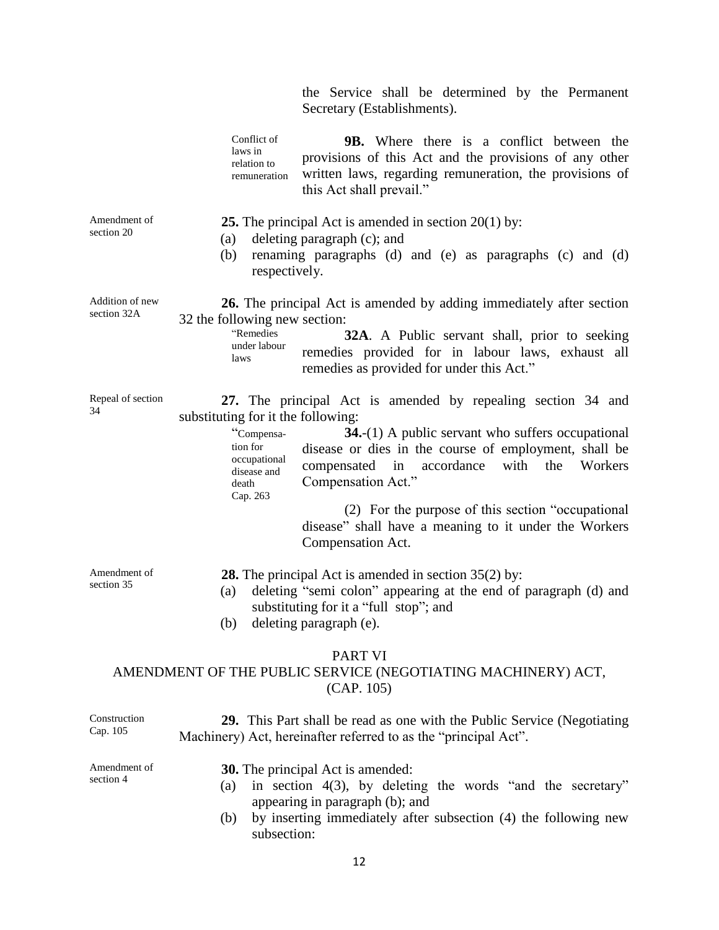the Service shall be determined by the Permanent Secretary (Establishments).

Conflict of laws in relation to remuneration **9B.** Where there is a conflict between the provisions of this Act and the provisions of any other written laws, regarding remuneration, the provisions of this Act shall prevail."

Amendment of section 20

- **25.** The principal Act is amended in section 20(1) by: (a) deleting paragraph (c); and
- (b) renaming paragraphs (d) and (e) as paragraphs (c) and (d) respectively.

Addition of new section 32A

**26.** The principal Act is amended by adding immediately after section 32 the following new section:

"Remedies under labour laws **32A**. A Public servant shall, prior to seeking remedies provided for in labour laws, exhaust all remedies as provided for under this Act."

Repeal of section 34

**27.** The principal Act is amended by repealing section 34 and substituting for it the following:

> "Compensation for occupational disease and death Cap. 263 **34.**-(1) A public servant who suffers occupational disease or dies in the course of employment, shall be compensated in accordance with the Workers Compensation Act."

> > (2) For the purpose of this section "occupational disease" shall have a meaning to it under the Workers Compensation Act.

Amendment of section 35

- **28.** The principal Act is amended in section 35(2) by:
- (a) deleting "semi colon" appearing at the end of paragraph (d) and substituting for it a "full stop"; and
- (b) deleting paragraph (e).

#### PART VI

## AMENDMENT OF THE PUBLIC SERVICE (NEGOTIATING MACHINERY) ACT, (CAP. 105)

| Construction<br>Cap. 105  | <b>29.</b> This Part shall be read as one with the Public Service (Negotiating<br>Machinery) Act, hereinafter referred to as the "principal Act".   |
|---------------------------|-----------------------------------------------------------------------------------------------------------------------------------------------------|
| Amendment of<br>section 4 | <b>30.</b> The principal Act is amended:<br>in section $4(3)$ , by deleting the words "and the secretary"<br>(a)<br>appearing in paragraph (b); and |
|                           | by inserting immediately after subsection (4) the following new<br>(b)<br>subsection:                                                               |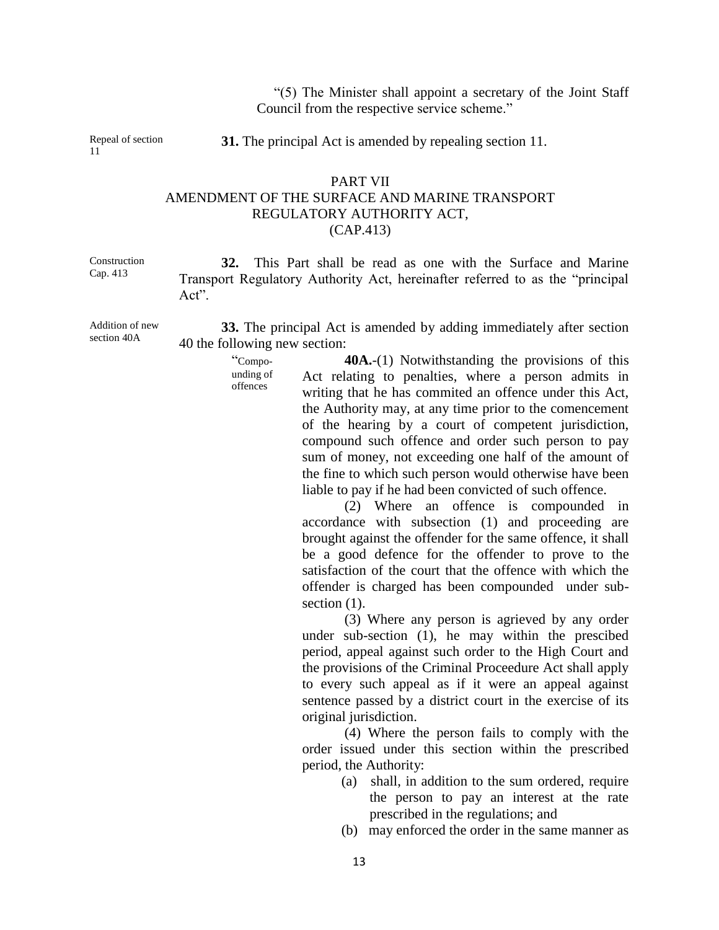"(5) The Minister shall appoint a secretary of the Joint Staff Council from the respective service scheme."

Repeal of section 11

**31.** The principal Act is amended by repealing section 11.

#### PART VII AMENDMENT OF THE SURFACE AND MARINE TRANSPORT REGULATORY AUTHORITY ACT, (CAP.413)

Construction Cap. 413

**32.** This Part shall be read as one with the Surface and Marine Transport Regulatory Authority Act, hereinafter referred to as the "principal Act<sup>"</sup>

Addition of new section 40A

> "Compounding of offences

**33.** The principal Act is amended by adding immediately after section 40 the following new section:

> **40A.**-(1) Notwithstanding the provisions of this Act relating to penalties, where a person admits in writing that he has commited an offence under this Act, the Authority may, at any time prior to the comencement of the hearing by a court of competent jurisdiction, compound such offence and order such person to pay sum of money, not exceeding one half of the amount of the fine to which such person would otherwise have been liable to pay if he had been convicted of such offence.

(2) Where an offence is compounded in accordance with subsection (1) and proceeding are brought against the offender for the same offence, it shall be a good defence for the offender to prove to the satisfaction of the court that the offence with which the offender is charged has been compounded under subsection  $(1)$ .

(3) Where any person is agrieved by any order under sub-section (1), he may within the prescibed period, appeal against such order to the High Court and the provisions of the Criminal Proceedure Act shall apply to every such appeal as if it were an appeal against sentence passed by a district court in the exercise of its original jurisdiction.

(4) Where the person fails to comply with the order issued under this section within the prescribed period, the Authority:

- (a) shall, in addition to the sum ordered, require the person to pay an interest at the rate prescribed in the regulations; and
- (b) may enforced the order in the same manner as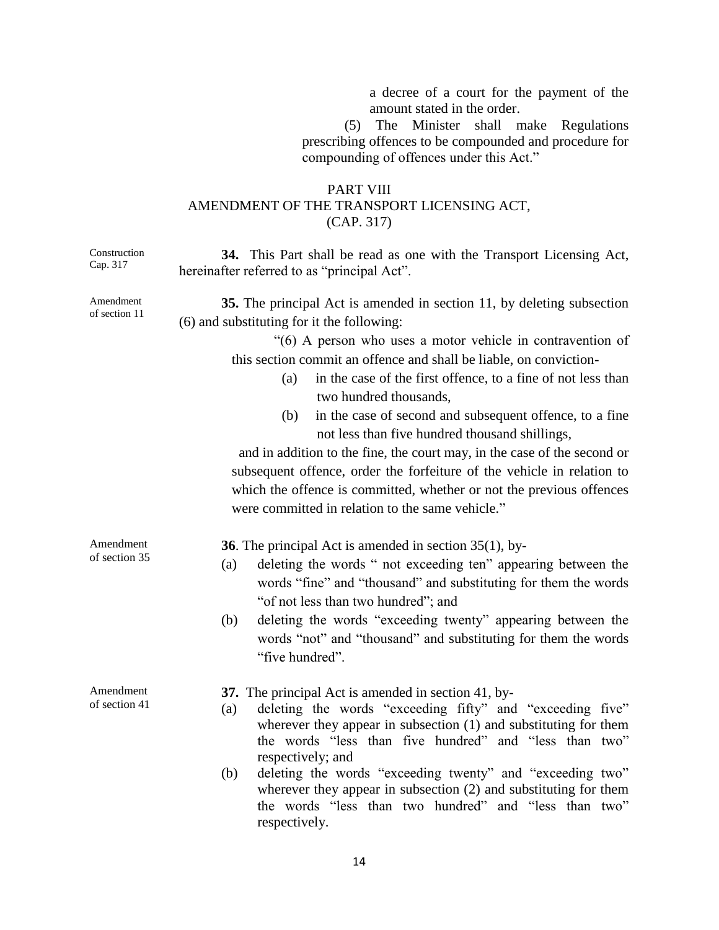a decree of a court for the payment of the amount stated in the order.

(5) The Minister shall make Regulations prescribing offences to be compounded and procedure for compounding of offences under this Act."

## PART VIII AMENDMENT OF THE TRANSPORT LICENSING ACT, (CAP. 317)

| Construction<br>Cap. 317   | 34. This Part shall be read as one with the Transport Licensing Act,<br>hereinafter referred to as "principal Act".                                                                                                                                                                                                                                                                                                                                                                                                                                                                                                                                                                                                                                             |
|----------------------------|-----------------------------------------------------------------------------------------------------------------------------------------------------------------------------------------------------------------------------------------------------------------------------------------------------------------------------------------------------------------------------------------------------------------------------------------------------------------------------------------------------------------------------------------------------------------------------------------------------------------------------------------------------------------------------------------------------------------------------------------------------------------|
| Amendment<br>of section 11 | 35. The principal Act is amended in section 11, by deleting subsection<br>(6) and substituting for it the following:<br>"(6) A person who uses a motor vehicle in contravention of<br>this section commit an offence and shall be liable, on conviction-<br>in the case of the first offence, to a fine of not less than<br>(a)<br>two hundred thousands,<br>in the case of second and subsequent offence, to a fine<br>(b)<br>not less than five hundred thousand shillings,<br>and in addition to the fine, the court may, in the case of the second or<br>subsequent offence, order the forfeiture of the vehicle in relation to<br>which the offence is committed, whether or not the previous offences<br>were committed in relation to the same vehicle." |
| Amendment<br>of section 35 | <b>36</b> . The principal Act is amended in section $35(1)$ , by-<br>deleting the words " not exceeding ten" appearing between the<br>(a)<br>words "fine" and "thousand" and substituting for them the words<br>"of not less than two hundred"; and<br>deleting the words "exceeding twenty" appearing between the<br>(b)<br>words "not" and "thousand" and substituting for them the words<br>"five hundred".                                                                                                                                                                                                                                                                                                                                                  |
| Amendment<br>of section 41 | 37. The principal Act is amended in section 41, by-<br>deleting the words "exceeding fifty" and "exceeding five"<br>(a)<br>wherever they appear in subsection $(1)$ and substituting for them<br>the words "less than five hundred" and "less than two"<br>respectively; and<br>deleting the words "exceeding twenty" and "exceeding two"<br>(b)<br>wherever they appear in subsection $(2)$ and substituting for them<br>the words "less than two hundred" and "less than two"<br>respectively.                                                                                                                                                                                                                                                                |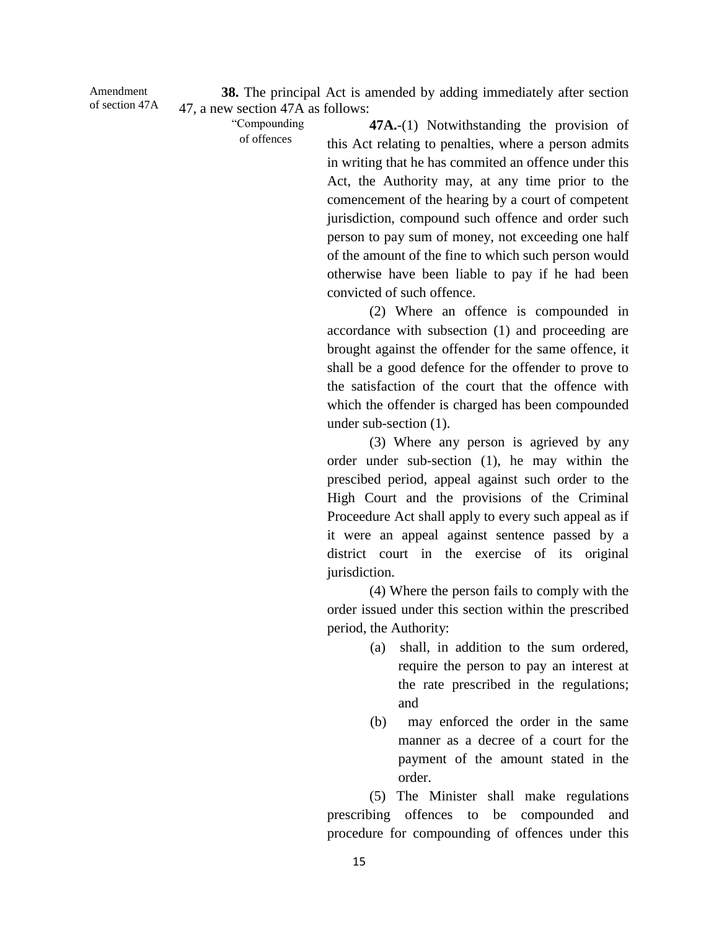Amendment of section 47A

**38.** The principal Act is amended by adding immediately after section 47, a new section 47A as follows:

> "Compounding of offences

**47A.**-(1) Notwithstanding the provision of this Act relating to penalties, where a person admits in writing that he has commited an offence under this Act, the Authority may, at any time prior to the comencement of the hearing by a court of competent jurisdiction, compound such offence and order such person to pay sum of money, not exceeding one half of the amount of the fine to which such person would otherwise have been liable to pay if he had been convicted of such offence.

(2) Where an offence is compounded in accordance with subsection (1) and proceeding are brought against the offender for the same offence, it shall be a good defence for the offender to prove to the satisfaction of the court that the offence with which the offender is charged has been compounded under sub-section (1).

(3) Where any person is agrieved by any order under sub-section (1), he may within the prescibed period, appeal against such order to the High Court and the provisions of the Criminal Proceedure Act shall apply to every such appeal as if it were an appeal against sentence passed by a district court in the exercise of its original jurisdiction.

(4) Where the person fails to comply with the order issued under this section within the prescribed period, the Authority:

- (a) shall, in addition to the sum ordered, require the person to pay an interest at the rate prescribed in the regulations; and
- (b) may enforced the order in the same manner as a decree of a court for the payment of the amount stated in the order.

(5) The Minister shall make regulations prescribing offences to be compounded and procedure for compounding of offences under this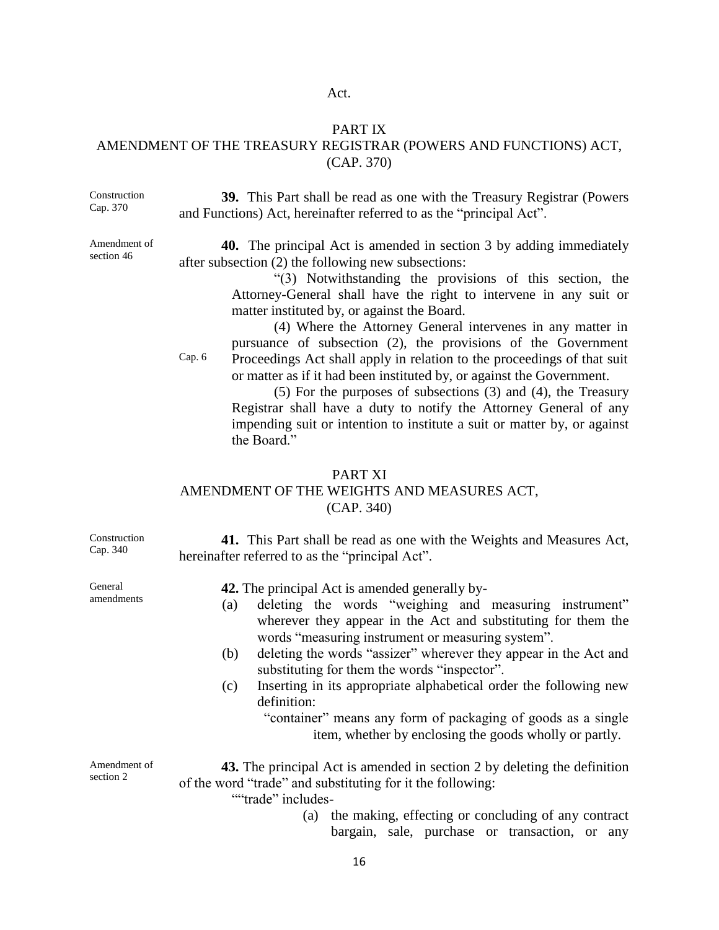#### Act.

#### PART IX

## AMENDMENT OF THE TREASURY REGISTRAR (POWERS AND FUNCTIONS) ACT, (CAP. 370)

Construction Cap. 370

**39.** This Part shall be read as one with the Treasury Registrar (Powers and Functions) Act, hereinafter referred to as the "principal Act".

Amendment of section 46

**40.** The principal Act is amended in section 3 by adding immediately after subsection (2) the following new subsections:

> "(3) Notwithstanding the provisions of this section, the Attorney-General shall have the right to intervene in any suit or matter instituted by, or against the Board.

Cap. 6

(4) Where the Attorney General intervenes in any matter in pursuance of subsection (2), the provisions of the Government Proceedings Act shall apply in relation to the proceedings of that suit or matter as if it had been instituted by, or against the Government.

(5) For the purposes of subsections (3) and (4), the Treasury Registrar shall have a duty to notify the Attorney General of any impending suit or intention to institute a suit or matter by, or against the Board."

# PART XI

## AMENDMENT OF THE WEIGHTS AND MEASURES ACT, (CAP. 340)

| Construction<br>Cap. 340  | 41. This Part shall be read as one with the Weights and Measures Act,<br>hereinafter referred to as the "principal Act".                                                                                                                                                                                                                                                                                                                                                                                                           |
|---------------------------|------------------------------------------------------------------------------------------------------------------------------------------------------------------------------------------------------------------------------------------------------------------------------------------------------------------------------------------------------------------------------------------------------------------------------------------------------------------------------------------------------------------------------------|
| General<br>amendments     | <b>42.</b> The principal Act is amended generally by-<br>deleting the words "weighing and measuring instrument"<br>(a)<br>wherever they appear in the Act and substituting for them the<br>words "measuring instrument or measuring system".<br>deleting the words "assizer" wherever they appear in the Act and<br>(b)<br>substituting for them the words "inspector".<br>Inserting in its appropriate alphabetical order the following new<br>(c)<br>definition:<br>"container" means any form of packaging of goods as a single |
|                           | item, whether by enclosing the goods wholly or partly.                                                                                                                                                                                                                                                                                                                                                                                                                                                                             |
| Amendment of<br>section 2 | <b>43.</b> The principal Act is amended in section 2 by deleting the definition<br>of the word "trade" and substituting for it the following:<br>""trade" includes-<br>the making, effecting or concluding of any contract<br>(a)<br>bargain, sale, purchase or transaction, or any                                                                                                                                                                                                                                                |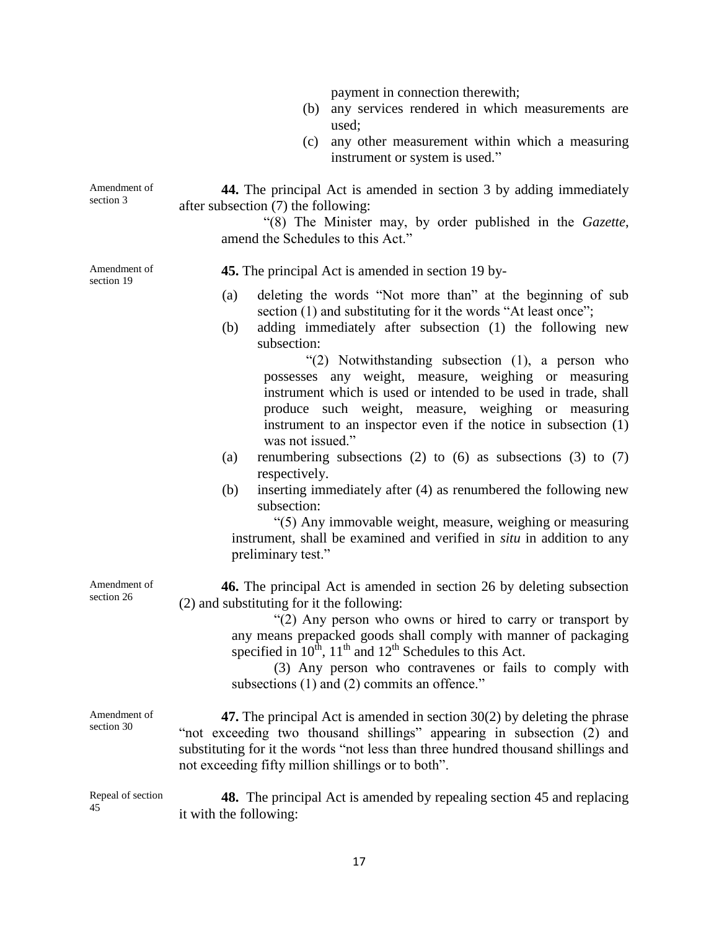payment in connection therewith;

- (b) any services rendered in which measurements are used;
- (c) any other measurement within which a measuring instrument or system is used."

Amendment of section 3 **44.** The principal Act is amended in section 3 by adding immediately after subsection (7) the following:

> "(8) The Minister may, by order published in the *Gazette*, amend the Schedules to this Act."

Amendment of section 19

**45.** The principal Act is amended in section 19 by-

- (a) deleting the words "Not more than" at the beginning of sub section (1) and substituting for it the words "At least once";
- (b) adding immediately after subsection (1) the following new subsection:

"(2) Notwithstanding subsection (1), a person who possesses any weight, measure, weighing or measuring instrument which is used or intended to be used in trade, shall produce such weight, measure, weighing or measuring instrument to an inspector even if the notice in subsection (1) was not issued."

- (a) renumbering subsections (2) to  $(6)$  as subsections (3) to  $(7)$ respectively.
- (b) inserting immediately after (4) as renumbered the following new subsection:

"(5) Any immovable weight, measure, weighing or measuring instrument, shall be examined and verified in *situ* in addition to any preliminary test."

**46.** The principal Act is amended in section 26 by deleting subsection (2) and substituting for it the following:

> "(2) Any person who owns or hired to carry or transport by any means prepacked goods shall comply with manner of packaging specified in  $10^{th}$ ,  $11^{th}$  and  $12^{th}$  Schedules to this Act.

> (3) Any person who contravenes or fails to comply with subsections (1) and (2) commits an offence."

**47.** The principal Act is amended in section 30(2) by deleting the phrase "not exceeding two thousand shillings" appearing in subsection (2) and substituting for it the words "not less than three hundred thousand shillings and not exceeding fifty million shillings or to both".

Repeal of section 45 **48.** The principal Act is amended by repealing section 45 and replacing it with the following:

Amendment of section 26

Amendment of section 30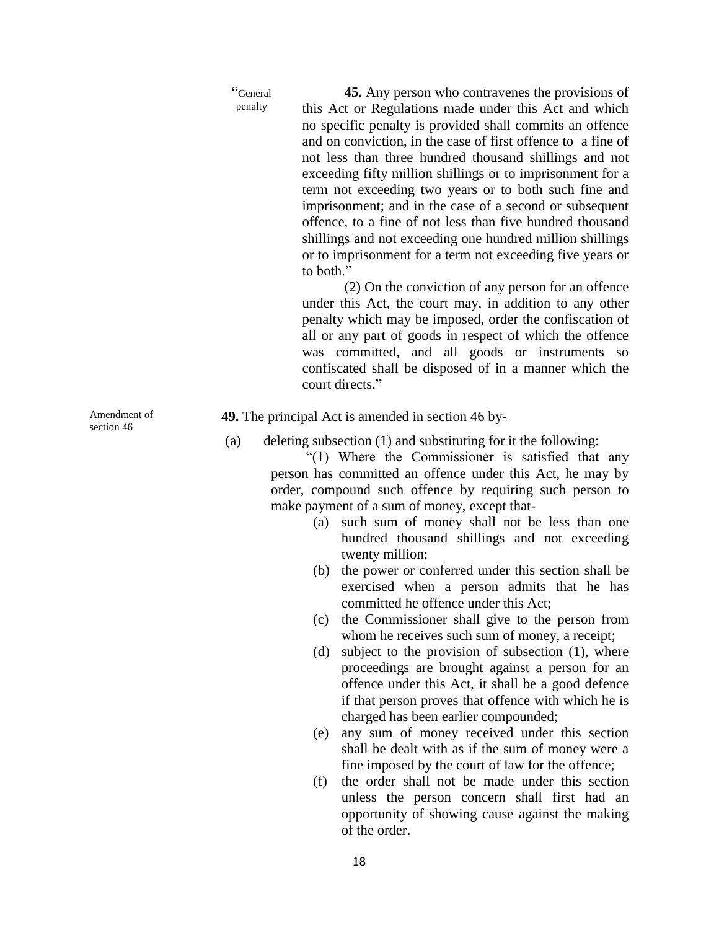"General penalty

**45.** Any person who contravenes the provisions of this Act or Regulations made under this Act and which no specific penalty is provided shall commits an offence and on conviction, in the case of first offence to a fine of not less than three hundred thousand shillings and not exceeding fifty million shillings or to imprisonment for a term not exceeding two years or to both such fine and imprisonment; and in the case of a second or subsequent offence, to a fine of not less than five hundred thousand shillings and not exceeding one hundred million shillings or to imprisonment for a term not exceeding five years or to both."

(2) On the conviction of any person for an offence under this Act, the court may, in addition to any other penalty which may be imposed, order the confiscation of all or any part of goods in respect of which the offence was committed, and all goods or instruments so confiscated shall be disposed of in a manner which the court directs."

**49.** The principal Act is amended in section 46 by-

(a) deleting subsection (1) and substituting for it the following:

"(1) Where the Commissioner is satisfied that any person has committed an offence under this Act, he may by order, compound such offence by requiring such person to make payment of a sum of money, except that-

- (a) such sum of money shall not be less than one hundred thousand shillings and not exceeding twenty million;
- (b) the power or conferred under this section shall be exercised when a person admits that he has committed he offence under this Act;
- (c) the Commissioner shall give to the person from whom he receives such sum of money, a receipt;
- (d) subject to the provision of subsection (1), where proceedings are brought against a person for an offence under this Act, it shall be a good defence if that person proves that offence with which he is charged has been earlier compounded;
- (e) any sum of money received under this section shall be dealt with as if the sum of money were a fine imposed by the court of law for the offence;
- (f) the order shall not be made under this section unless the person concern shall first had an opportunity of showing cause against the making of the order.

Amendment of section 46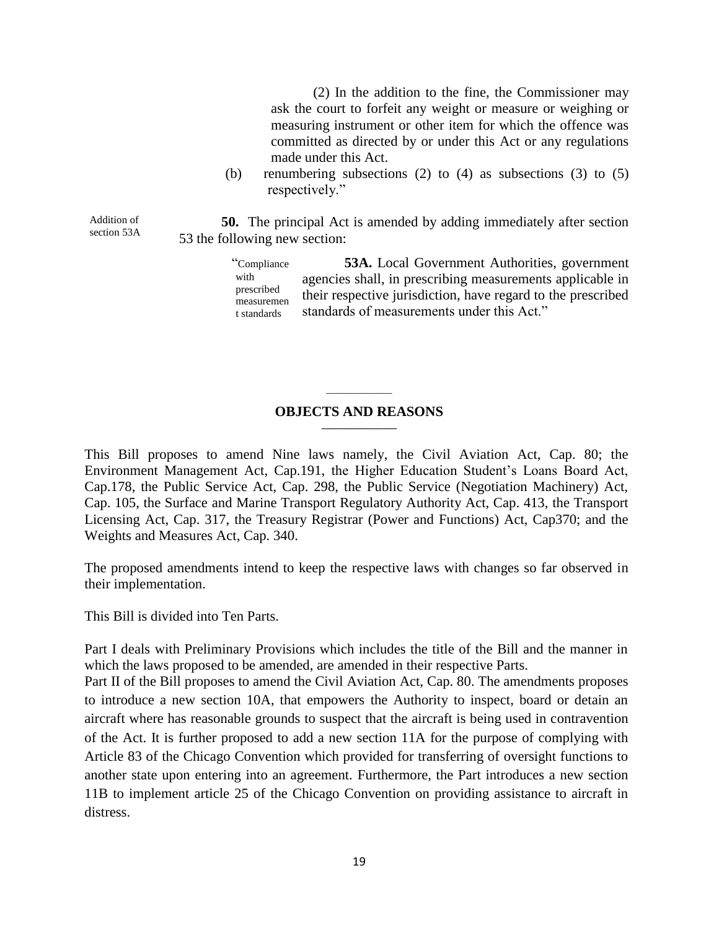(2) In the addition to the fine, the Commissioner may ask the court to forfeit any weight or measure or weighing or measuring instrument or other item for which the offence was committed as directed by or under this Act or any regulations made under this Act.

(b) renumbering subsections (2) to (4) as subsections (3) to  $(5)$ respectively."

**50.** The principal Act is amended by adding immediately after section 53 the following new section:

> "Compliance with prescribed measuremen t standards **53A.** Local Government Authorities, government agencies shall, in prescribing measurements applicable in their respective jurisdiction, have regard to the prescribed standards of measurements under this Act."

#### **OBJECTS AND REASONS \_\_\_\_\_\_\_\_\_\_\_\_\_\_\_\_**

\_\_\_\_\_\_\_\_\_\_\_\_\_\_

This Bill proposes to amend Nine laws namely, the Civil Aviation Act, Cap. 80; the Environment Management Act, Cap.191, the Higher Education Student's Loans Board Act, Cap.178, the Public Service Act, Cap. 298, the Public Service (Negotiation Machinery) Act, Cap. 105, the Surface and Marine Transport Regulatory Authority Act, Cap. 413, the Transport Licensing Act, Cap. 317, the Treasury Registrar (Power and Functions) Act, Cap370; and the Weights and Measures Act, Cap. 340.

The proposed amendments intend to keep the respective laws with changes so far observed in their implementation.

This Bill is divided into Ten Parts.

Addition of section 53A

Part I deals with Preliminary Provisions which includes the title of the Bill and the manner in which the laws proposed to be amended, are amended in their respective Parts.

Part II of the Bill proposes to amend the Civil Aviation Act, Cap. 80. The amendments proposes to introduce a new section 10A, that empowers the Authority to inspect, board or detain an aircraft where has reasonable grounds to suspect that the aircraft is being used in contravention of the Act. It is further proposed to add a new section 11A for the purpose of complying with Article 83 of the Chicago Convention which provided for transferring of oversight functions to another state upon entering into an agreement. Furthermore, the Part introduces a new section 11B to implement article 25 of the Chicago Convention on providing assistance to aircraft in distress.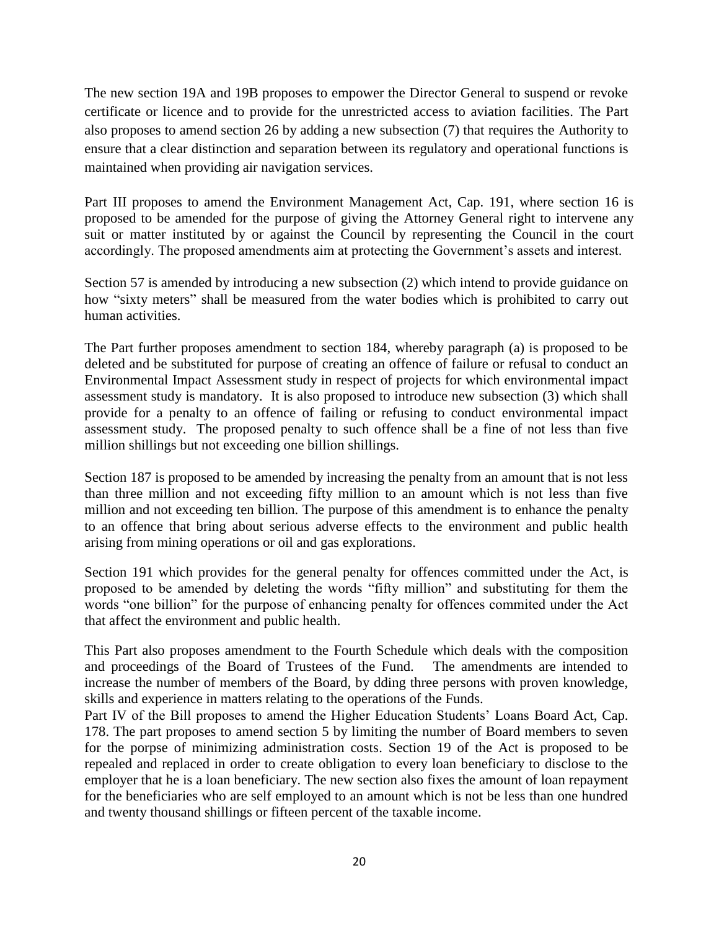The new section 19A and 19B proposes to empower the Director General to suspend or revoke certificate or licence and to provide for the unrestricted access to aviation facilities. The Part also proposes to amend section 26 by adding a new subsection (7) that requires the Authority to ensure that a clear distinction and separation between its regulatory and operational functions is maintained when providing air navigation services.

Part III proposes to amend the Environment Management Act, Cap. 191, where section 16 is proposed to be amended for the purpose of giving the Attorney General right to intervene any suit or matter instituted by or against the Council by representing the Council in the court accordingly. The proposed amendments aim at protecting the Government's assets and interest.

Section 57 is amended by introducing a new subsection (2) which intend to provide guidance on how "sixty meters" shall be measured from the water bodies which is prohibited to carry out human activities.

The Part further proposes amendment to section 184, whereby paragraph (a) is proposed to be deleted and be substituted for purpose of creating an offence of failure or refusal to conduct an Environmental Impact Assessment study in respect of projects for which environmental impact assessment study is mandatory. It is also proposed to introduce new subsection (3) which shall provide for a penalty to an offence of failing or refusing to conduct environmental impact assessment study. The proposed penalty to such offence shall be a fine of not less than five million shillings but not exceeding one billion shillings.

Section 187 is proposed to be amended by increasing the penalty from an amount that is not less than three million and not exceeding fifty million to an amount which is not less than five million and not exceeding ten billion. The purpose of this amendment is to enhance the penalty to an offence that bring about serious adverse effects to the environment and public health arising from mining operations or oil and gas explorations.

Section 191 which provides for the general penalty for offences committed under the Act, is proposed to be amended by deleting the words "fifty million" and substituting for them the words "one billion" for the purpose of enhancing penalty for offences commited under the Act that affect the environment and public health.

This Part also proposes amendment to the Fourth Schedule which deals with the composition and proceedings of the Board of Trustees of the Fund. The amendments are intended to increase the number of members of the Board, by dding three persons with proven knowledge, skills and experience in matters relating to the operations of the Funds.

Part IV of the Bill proposes to amend the Higher Education Students' Loans Board Act, Cap. 178. The part proposes to amend section 5 by limiting the number of Board members to seven for the porpse of minimizing administration costs. Section 19 of the Act is proposed to be repealed and replaced in order to create obligation to every loan beneficiary to disclose to the employer that he is a loan beneficiary. The new section also fixes the amount of loan repayment for the beneficiaries who are self employed to an amount which is not be less than one hundred and twenty thousand shillings or fifteen percent of the taxable income.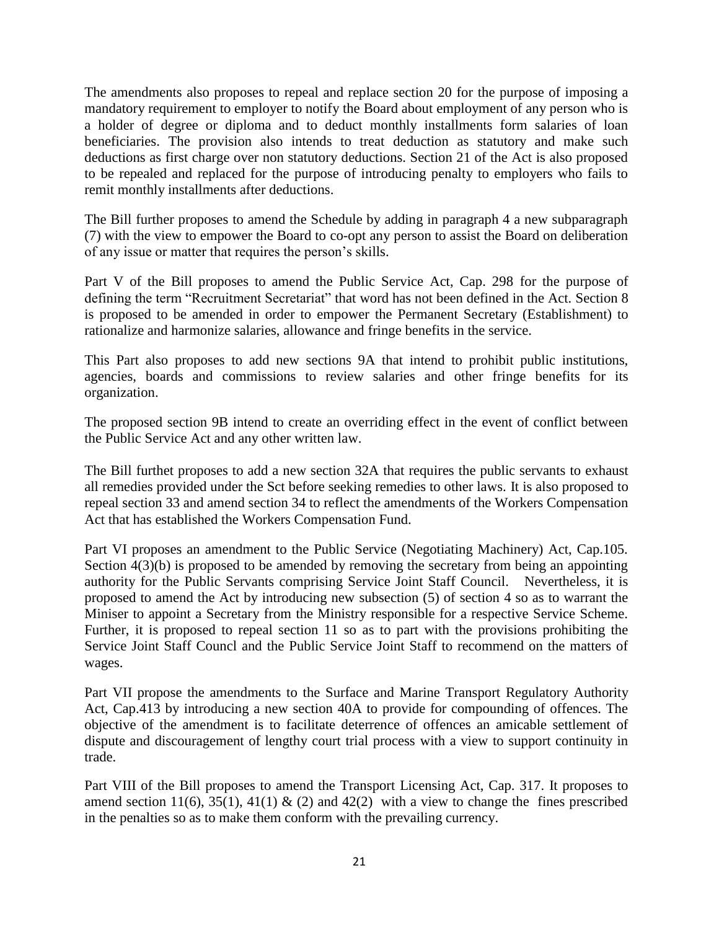The amendments also proposes to repeal and replace section 20 for the purpose of imposing a mandatory requirement to employer to notify the Board about employment of any person who is a holder of degree or diploma and to deduct monthly installments form salaries of loan beneficiaries. The provision also intends to treat deduction as statutory and make such deductions as first charge over non statutory deductions. Section 21 of the Act is also proposed to be repealed and replaced for the purpose of introducing penalty to employers who fails to remit monthly installments after deductions.

The Bill further proposes to amend the Schedule by adding in paragraph 4 a new subparagraph (7) with the view to empower the Board to co-opt any person to assist the Board on deliberation of any issue or matter that requires the person's skills.

Part V of the Bill proposes to amend the Public Service Act, Cap. 298 for the purpose of defining the term "Recruitment Secretariat" that word has not been defined in the Act. Section 8 is proposed to be amended in order to empower the Permanent Secretary (Establishment) to rationalize and harmonize salaries, allowance and fringe benefits in the service.

This Part also proposes to add new sections 9A that intend to prohibit public institutions, agencies, boards and commissions to review salaries and other fringe benefits for its organization.

The proposed section 9B intend to create an overriding effect in the event of conflict between the Public Service Act and any other written law.

The Bill furthet proposes to add a new section 32A that requires the public servants to exhaust all remedies provided under the Sct before seeking remedies to other laws. It is also proposed to repeal section 33 and amend section 34 to reflect the amendments of the Workers Compensation Act that has established the Workers Compensation Fund.

Part VI proposes an amendment to the Public Service (Negotiating Machinery) Act, Cap.105. Section  $4(3)(b)$  is proposed to be amended by removing the secretary from being an appointing authority for the Public Servants comprising Service Joint Staff Council. Nevertheless, it is proposed to amend the Act by introducing new subsection (5) of section 4 so as to warrant the Miniser to appoint a Secretary from the Ministry responsible for a respective Service Scheme. Further, it is proposed to repeal section 11 so as to part with the provisions prohibiting the Service Joint Staff Councl and the Public Service Joint Staff to recommend on the matters of wages.

Part VII propose the amendments to the Surface and Marine Transport Regulatory Authority Act, Cap.413 by introducing a new section 40A to provide for compounding of offences. The objective of the amendment is to facilitate deterrence of offences an amicable settlement of dispute and discouragement of lengthy court trial process with a view to support continuity in trade.

Part VIII of the Bill proposes to amend the Transport Licensing Act, Cap. 317. It proposes to amend section 11(6), 35(1), 41(1)  $\&$  (2) and 42(2) with a view to change the fines prescribed in the penalties so as to make them conform with the prevailing currency.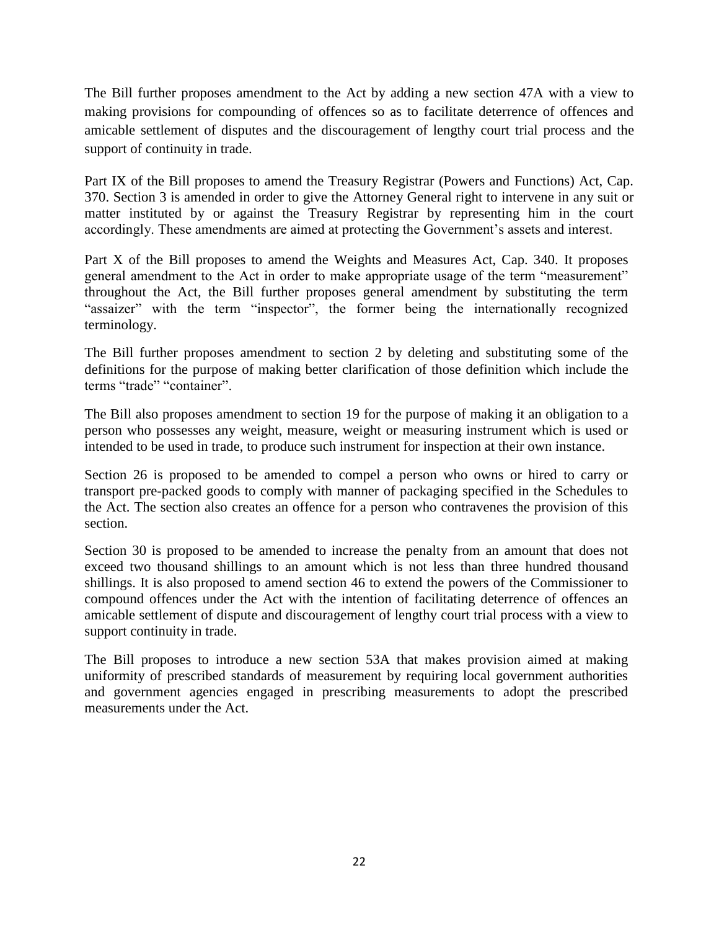The Bill further proposes amendment to the Act by adding a new section 47A with a view to making provisions for compounding of offences so as to facilitate deterrence of offences and amicable settlement of disputes and the discouragement of lengthy court trial process and the support of continuity in trade.

Part IX of the Bill proposes to amend the Treasury Registrar (Powers and Functions) Act, Cap. 370. Section 3 is amended in order to give the Attorney General right to intervene in any suit or matter instituted by or against the Treasury Registrar by representing him in the court accordingly. These amendments are aimed at protecting the Government's assets and interest.

Part X of the Bill proposes to amend the Weights and Measures Act, Cap. 340. It proposes general amendment to the Act in order to make appropriate usage of the term "measurement" throughout the Act, the Bill further proposes general amendment by substituting the term "assaizer" with the term "inspector", the former being the internationally recognized terminology.

The Bill further proposes amendment to section 2 by deleting and substituting some of the definitions for the purpose of making better clarification of those definition which include the terms "trade" "container".

The Bill also proposes amendment to section 19 for the purpose of making it an obligation to a person who possesses any weight, measure, weight or measuring instrument which is used or intended to be used in trade, to produce such instrument for inspection at their own instance.

Section 26 is proposed to be amended to compel a person who owns or hired to carry or transport pre-packed goods to comply with manner of packaging specified in the Schedules to the Act. The section also creates an offence for a person who contravenes the provision of this section.

Section 30 is proposed to be amended to increase the penalty from an amount that does not exceed two thousand shillings to an amount which is not less than three hundred thousand shillings. It is also proposed to amend section 46 to extend the powers of the Commissioner to compound offences under the Act with the intention of facilitating deterrence of offences an amicable settlement of dispute and discouragement of lengthy court trial process with a view to support continuity in trade.

The Bill proposes to introduce a new section 53A that makes provision aimed at making uniformity of prescribed standards of measurement by requiring local government authorities and government agencies engaged in prescribing measurements to adopt the prescribed measurements under the Act.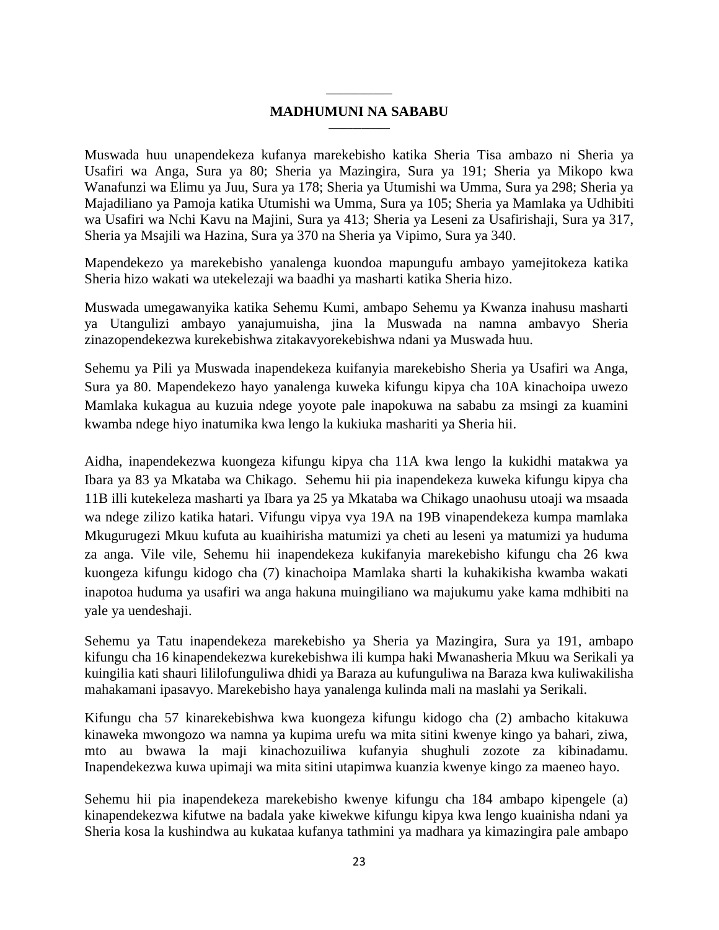#### **\_\_\_\_\_\_\_\_\_\_\_\_\_\_ MADHUMUNI NA SABABU \_\_\_\_\_\_\_\_\_\_\_\_\_**

Muswada huu unapendekeza kufanya marekebisho katika Sheria Tisa ambazo ni Sheria ya Usafiri wa Anga, Sura ya 80; Sheria ya Mazingira, Sura ya 191; Sheria ya Mikopo kwa Wanafunzi wa Elimu ya Juu, Sura ya 178; Sheria ya Utumishi wa Umma, Sura ya 298; Sheria ya Majadiliano ya Pamoja katika Utumishi wa Umma, Sura ya 105; Sheria ya Mamlaka ya Udhibiti wa Usafiri wa Nchi Kavu na Majini, Sura ya 413; Sheria ya Leseni za Usafirishaji, Sura ya 317, Sheria ya Msajili wa Hazina, Sura ya 370 na Sheria ya Vipimo, Sura ya 340.

Mapendekezo ya marekebisho yanalenga kuondoa mapungufu ambayo yamejitokeza katika Sheria hizo wakati wa utekelezaji wa baadhi ya masharti katika Sheria hizo.

Muswada umegawanyika katika Sehemu Kumi, ambapo Sehemu ya Kwanza inahusu masharti ya Utangulizi ambayo yanajumuisha, jina la Muswada na namna ambavyo Sheria zinazopendekezwa kurekebishwa zitakavyorekebishwa ndani ya Muswada huu.

Sehemu ya Pili ya Muswada inapendekeza kuifanyia marekebisho Sheria ya Usafiri wa Anga, Sura ya 80. Mapendekezo hayo yanalenga kuweka kifungu kipya cha 10A kinachoipa uwezo Mamlaka kukagua au kuzuia ndege yoyote pale inapokuwa na sababu za msingi za kuamini kwamba ndege hiyo inatumika kwa lengo la kukiuka mashariti ya Sheria hii.

Aidha, inapendekezwa kuongeza kifungu kipya cha 11A kwa lengo la kukidhi matakwa ya Ibara ya 83 ya Mkataba wa Chikago. Sehemu hii pia inapendekeza kuweka kifungu kipya cha 11B illi kutekeleza masharti ya Ibara ya 25 ya Mkataba wa Chikago unaohusu utoaji wa msaada wa ndege zilizo katika hatari. Vifungu vipya vya 19A na 19B vinapendekeza kumpa mamlaka Mkugurugezi Mkuu kufuta au kuaihirisha matumizi ya cheti au leseni ya matumizi ya huduma za anga. Vile vile, Sehemu hii inapendekeza kukifanyia marekebisho kifungu cha 26 kwa kuongeza kifungu kidogo cha (7) kinachoipa Mamlaka sharti la kuhakikisha kwamba wakati inapotoa huduma ya usafiri wa anga hakuna muingiliano wa majukumu yake kama mdhibiti na yale ya uendeshaji.

Sehemu ya Tatu inapendekeza marekebisho ya Sheria ya Mazingira, Sura ya 191, ambapo kifungu cha 16 kinapendekezwa kurekebishwa ili kumpa haki Mwanasheria Mkuu wa Serikali ya kuingilia kati shauri lililofunguliwa dhidi ya Baraza au kufunguliwa na Baraza kwa kuliwakilisha mahakamani ipasavyo. Marekebisho haya yanalenga kulinda mali na maslahi ya Serikali.

Kifungu cha 57 kinarekebishwa kwa kuongeza kifungu kidogo cha (2) ambacho kitakuwa kinaweka mwongozo wa namna ya kupima urefu wa mita sitini kwenye kingo ya bahari, ziwa, mto au bwawa la maji kinachozuiliwa kufanyia shughuli zozote za kibinadamu. Inapendekezwa kuwa upimaji wa mita sitini utapimwa kuanzia kwenye kingo za maeneo hayo.

Sehemu hii pia inapendekeza marekebisho kwenye kifungu cha 184 ambapo kipengele (a) kinapendekezwa kifutwe na badala yake kiwekwe kifungu kipya kwa lengo kuainisha ndani ya Sheria kosa la kushindwa au kukataa kufanya tathmini ya madhara ya kimazingira pale ambapo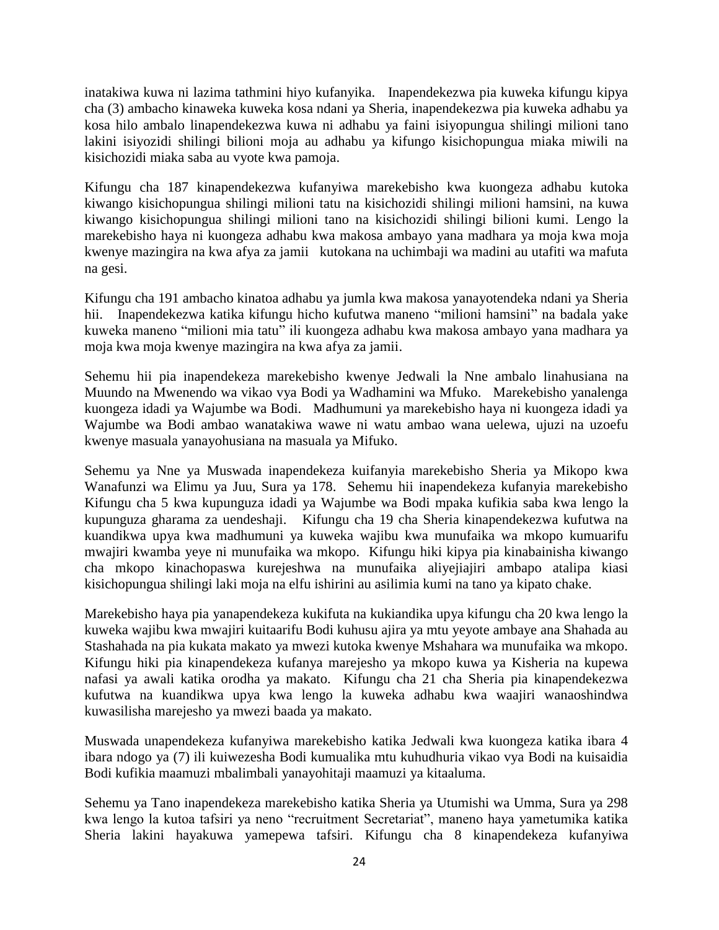inatakiwa kuwa ni lazima tathmini hiyo kufanyika. Inapendekezwa pia kuweka kifungu kipya cha (3) ambacho kinaweka kuweka kosa ndani ya Sheria, inapendekezwa pia kuweka adhabu ya kosa hilo ambalo linapendekezwa kuwa ni adhabu ya faini isiyopungua shilingi milioni tano lakini isiyozidi shilingi bilioni moja au adhabu ya kifungo kisichopungua miaka miwili na kisichozidi miaka saba au vyote kwa pamoja.

Kifungu cha 187 kinapendekezwa kufanyiwa marekebisho kwa kuongeza adhabu kutoka kiwango kisichopungua shilingi milioni tatu na kisichozidi shilingi milioni hamsini, na kuwa kiwango kisichopungua shilingi milioni tano na kisichozidi shilingi bilioni kumi. Lengo la marekebisho haya ni kuongeza adhabu kwa makosa ambayo yana madhara ya moja kwa moja kwenye mazingira na kwa afya za jamii kutokana na uchimbaji wa madini au utafiti wa mafuta na gesi.

Kifungu cha 191 ambacho kinatoa adhabu ya jumla kwa makosa yanayotendeka ndani ya Sheria hii. Inapendekezwa katika kifungu hicho kufutwa maneno "milioni hamsini" na badala yake kuweka maneno "milioni mia tatu" ili kuongeza adhabu kwa makosa ambayo yana madhara ya moja kwa moja kwenye mazingira na kwa afya za jamii.

Sehemu hii pia inapendekeza marekebisho kwenye Jedwali la Nne ambalo linahusiana na Muundo na Mwenendo wa vikao vya Bodi ya Wadhamini wa Mfuko. Marekebisho yanalenga kuongeza idadi ya Wajumbe wa Bodi. Madhumuni ya marekebisho haya ni kuongeza idadi ya Wajumbe wa Bodi ambao wanatakiwa wawe ni watu ambao wana uelewa, ujuzi na uzoefu kwenye masuala yanayohusiana na masuala ya Mifuko.

Sehemu ya Nne ya Muswada inapendekeza kuifanyia marekebisho Sheria ya Mikopo kwa Wanafunzi wa Elimu ya Juu, Sura ya 178. Sehemu hii inapendekeza kufanyia marekebisho Kifungu cha 5 kwa kupunguza idadi ya Wajumbe wa Bodi mpaka kufikia saba kwa lengo la kupunguza gharama za uendeshaji. Kifungu cha 19 cha Sheria kinapendekezwa kufutwa na kuandikwa upya kwa madhumuni ya kuweka wajibu kwa munufaika wa mkopo kumuarifu mwajiri kwamba yeye ni munufaika wa mkopo. Kifungu hiki kipya pia kinabainisha kiwango cha mkopo kinachopaswa kurejeshwa na munufaika aliyejiajiri ambapo atalipa kiasi kisichopungua shilingi laki moja na elfu ishirini au asilimia kumi na tano ya kipato chake.

Marekebisho haya pia yanapendekeza kukifuta na kukiandika upya kifungu cha 20 kwa lengo la kuweka wajibu kwa mwajiri kuitaarifu Bodi kuhusu ajira ya mtu yeyote ambaye ana Shahada au Stashahada na pia kukata makato ya mwezi kutoka kwenye Mshahara wa munufaika wa mkopo. Kifungu hiki pia kinapendekeza kufanya marejesho ya mkopo kuwa ya Kisheria na kupewa nafasi ya awali katika orodha ya makato. Kifungu cha 21 cha Sheria pia kinapendekezwa kufutwa na kuandikwa upya kwa lengo la kuweka adhabu kwa waajiri wanaoshindwa kuwasilisha marejesho ya mwezi baada ya makato.

Muswada unapendekeza kufanyiwa marekebisho katika Jedwali kwa kuongeza katika ibara 4 ibara ndogo ya (7) ili kuiwezesha Bodi kumualika mtu kuhudhuria vikao vya Bodi na kuisaidia Bodi kufikia maamuzi mbalimbali yanayohitaji maamuzi ya kitaaluma.

Sehemu ya Tano inapendekeza marekebisho katika Sheria ya Utumishi wa Umma, Sura ya 298 kwa lengo la kutoa tafsiri ya neno "recruitment Secretariat", maneno haya yametumika katika Sheria lakini hayakuwa yamepewa tafsiri. Kifungu cha 8 kinapendekeza kufanyiwa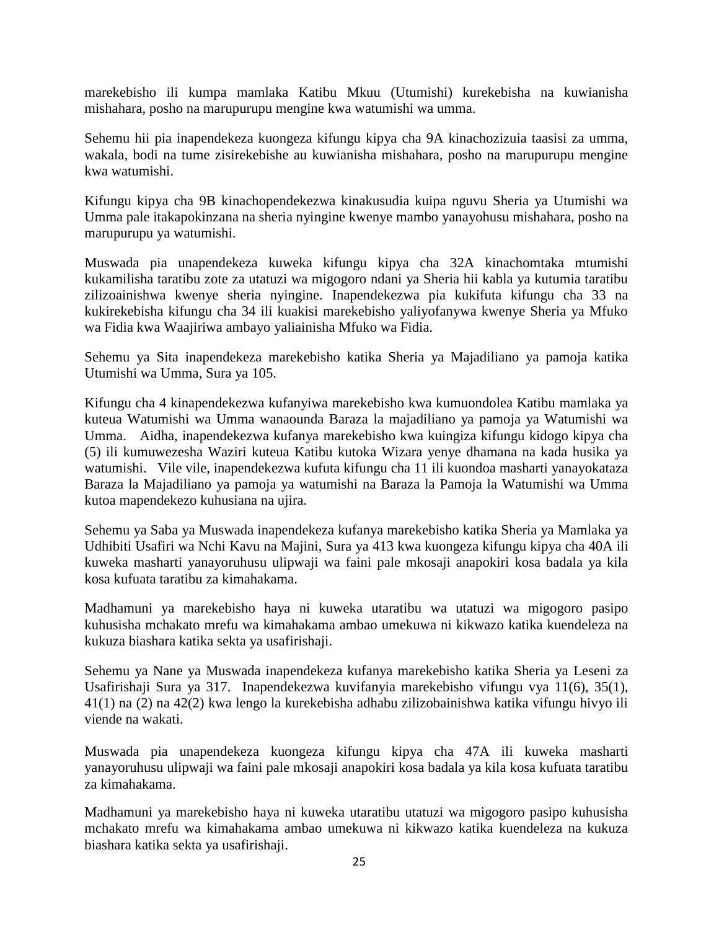marekebisho ili kumpa mamlaka Katibu Mkuu (Utumishi) kurekebisha na kuwianisha mishahara, posho na marupurupu mengine kwa watumishi wa umma.

Sehemu hii pia inapendekeza kuongeza kifungu kipya cha 9A kinachozizuia taasisi za umma, wakala, bodi na tume zisirekebishe au kuwianisha mishahara, posho na marupurupu mengine kwa watumishi.

Kifungu kipya cha 9B kinachopendekezwa kinakusudia kuipa nguvu Sheria ya Utumishi wa Umma pale itakapokinzana na sheria nyingine kwenye mambo yanayohusu mishahara, posho na marupurupu ya watumishi.

Muswada pia unapendekeza kuweka kifungu kipya cha 32A kinachomtaka mtumishi kukamilisha taratibu zote za utatuzi wa migogoro ndani ya Sheria hii kabla ya kutumia taratibu zilizoainishwa kwenye sheria nyingine. Inapendekezwa pia kukifuta kifungu cha 33 na kukirekebisha kifungu cha 34 ili kuakisi marekebisho yaliyofanywa kwenye Sheria ya Mfuko wa Fidia kwa Waajiriwa ambayo yaliainisha Mfuko wa Fidia.

Sehemu ya Sita inapendekeza marekebisho katika Sheria ya Majadiliano ya pamoja katika Utumishi wa Umma, Sura ya 105.

Kifungu cha 4 kinapendekezwa kufanyiwa marekebisho kwa kumuondolea Katibu mamlaka ya kuteua Watumishi wa Umma wanaounda Baraza la majadiliano ya pamoja ya Watumishi wa Umma. Aidha, inapendekezwa kufanya marekebisho kwa kuingiza kifungu kidogo kipya cha (5) ili kumuwezesha Waziri kuteua Katibu kutoka Wizara yenye dhamana na kada husika ya watumishi. Vile vile, inapendekezwa kufuta kifungu cha 11 ili kuondoa masharti yanayokataza Baraza la Majadiliano ya pamoja ya watumishi na Baraza la Pamoja la Watumishi wa Umma kutoa mapendekezo kuhusiana na ujira.

Sehemu ya Saba ya Muswada inapendekeza kufanya marekebisho katika Sheria ya Mamlaka ya Udhibiti Usafiri wa Nchi Kavu na Majini, Sura ya 413 kwa kuongeza kifungu kipya cha 40A ili kuweka masharti yanayoruhusu ulipwaji wa faini pale mkosaji anapokiri kosa badala ya kila kosa kufuata taratibu za kimahakama.

Madhamuni ya marekebisho haya ni kuweka utaratibu wa utatuzi wa migogoro pasipo kuhusisha mchakato mrefu wa kimahakama ambao umekuwa ni kikwazo katika kuendeleza na kukuza biashara katika sekta ya usafirishaji.

Sehemu ya Nane ya Muswada inapendekeza kufanya marekebisho katika Sheria ya Leseni za Usafirishaji Sura ya 317. Inapendekezwa kuvifanyia marekebisho vifungu vya 11(6), 35(1), 41(1) na (2) na 42(2) kwa lengo la kurekebisha adhabu zilizobainishwa katika vifungu hivyo ili viende na wakati.

Muswada pia unapendekeza kuongeza kifungu kipya cha 47A ili kuweka masharti yanayoruhusu ulipwaji wa faini pale mkosaji anapokiri kosa badala ya kila kosa kufuata taratibu za kimahakama.

Madhamuni ya marekebisho haya ni kuweka utaratibu utatuzi wa migogoro pasipo kuhusisha mchakato mrefu wa kimahakama ambao umekuwa ni kikwazo katika kuendeleza na kukuza biashara katika sekta ya usafirishaji.